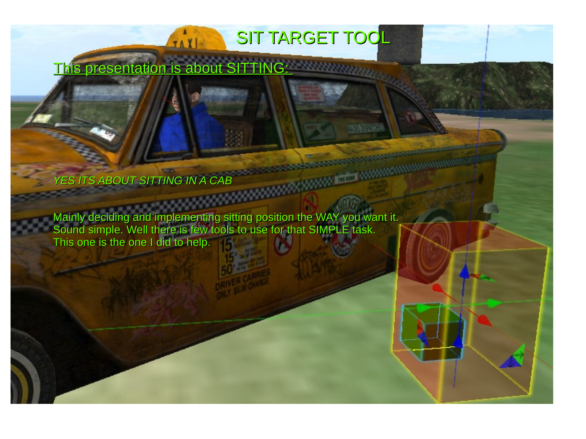This presentation is about SITTING:

*YES ITS ABOUT SITTING IN A CAB*

Mainly deciding and implementing sitting position the WAY you want it. Sound simple. Well there is few tools to use for that SIMPLE task. This one is the one I did to help.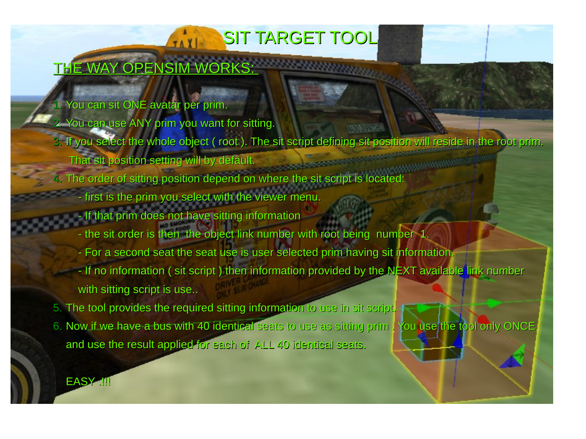### THE WAY OPENSIM WORKS:

### 1. You can sit ONE avatar per prim.

2. You can use ANY prim you want for sitting.

JAXI

- 3. If you select the whole object ( root ). The sit script defining sit position will reside in the root prim.
	- That sit position setting will by default.
- 4. The order of sitting position depend on where the sit script is located
	- first is the prim you select with the viewer menu.
	- If that prim does not have sitting information
	- the sit order is then the object link number with root being number  $1$ .
	- For a second seat the seat use is user selected prim having sit information.
	- If no information ( sit script ) then information provided by the NEXT available link number with sitting script is use..
- 5. The tool provides the required sitting information to use in sit script.
- 6. Now if we have a bus with 40 identical seats to use as sitting prim . You use the tool only ONCE. and use the result applied for each of ALL 40 identical seats.

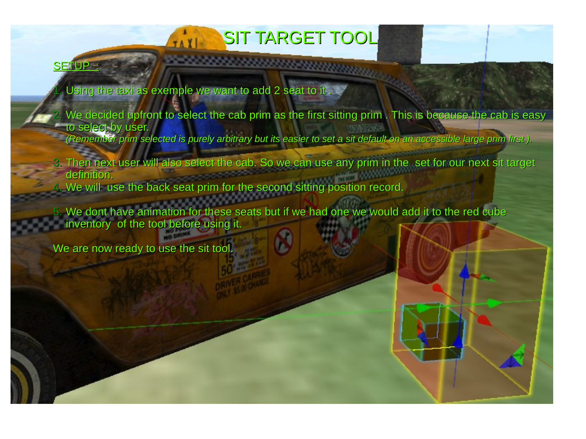#### SIT TARGET TOOL TAXI

#### **SETUP**

- Using the taxi as exemple we want to add 2 seat to it .
- We decided upfront to select the cab prim as the first sitting prim . This is because the cab is easy to select by user.
	- *(Remember prim selected is purely arbitrary but its easier to set a sit default on an accessible large prim first ).*
- 3. Then next user will also select the cab. So we can use any prim in the set for our next sit target definition.
- 4. We will use the back seat prim for the second sitting position record.

-----------------

We dont have animation for these seats but if we had one we would add it to the red cube inventory of the tool before using it.

We are now ready to use the sit tool.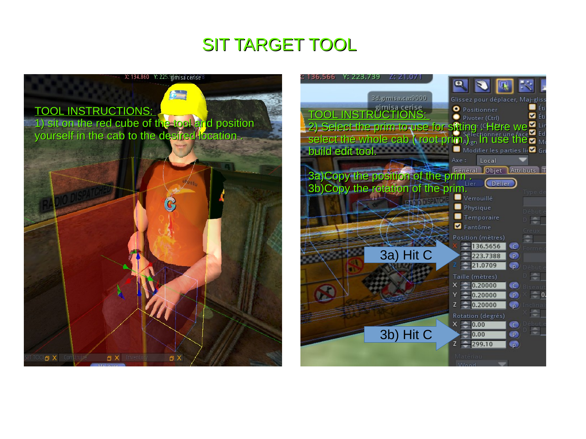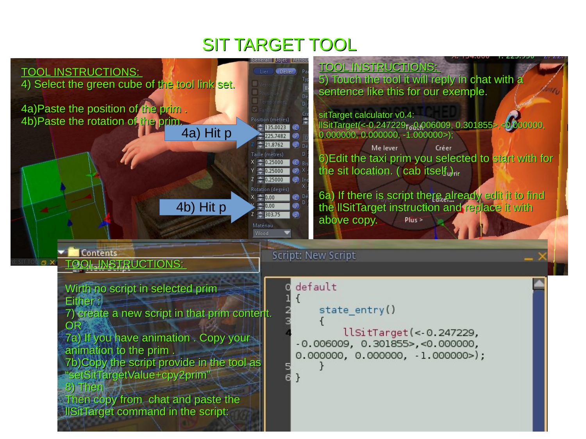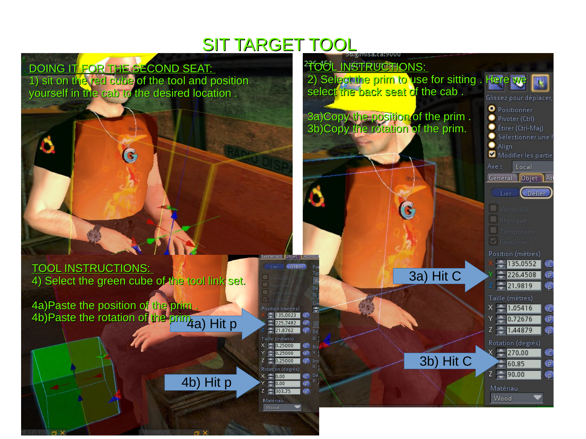Delier<sup>3</sup>

osition (mètres)  $-135.0023$ 

 $-21.8762$ Taille (mètres)

 $X = 0.25000$ 

 $-0.25000$ 

Rotation (degrés)

e  $0.25000$ 

 $\times = 0.00$ 

 $\bigoplus$  0.00

 $Z = 303.75$ 

Matériau

 $225.7482$  P

 $p$  Dé

C Bis

 $\mathbf{P} \times \mathbf{P}$ 

the Inc.

C Dé  $\overline{p}$ 

### DOING IT FOR THE SECOND SEAT:

1) sit on the red cube of the tool and position yourself in the cab to the desired location .



#### TOOL INSTRUCTIONS: 4) Select the green cube of the tool link set.

4b) Hit p

4b)Paste the rotation of the prim<sub>4a</sub>) Hit p 4a)Paste the position of the prim .